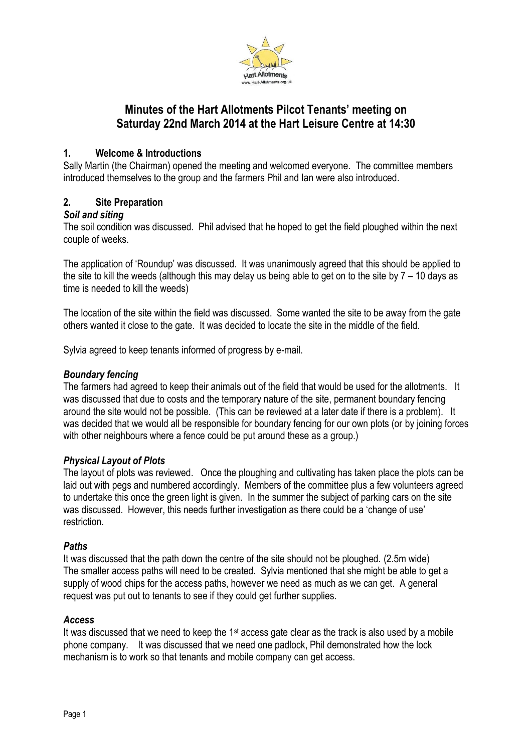

# **Minutes of the Hart Allotments Pilcot Tenants' meeting on Saturday 22nd March 2014 at the Hart Leisure Centre at 14:30**

## **1. Welcome & Introductions**

Sally Martin (the Chairman) opened the meeting and welcomed everyone. The committee members introduced themselves to the group and the farmers Phil and Ian were also introduced.

## **2. Site Preparation**

## *Soil and siting*

The soil condition was discussed. Phil advised that he hoped to get the field ploughed within the next couple of weeks.

The application of 'Roundup' was discussed. It was unanimously agreed that this should be applied to the site to kill the weeds (although this may delay us being able to get on to the site by  $7 - 10$  days as time is needed to kill the weeds)

The location of the site within the field was discussed. Some wanted the site to be away from the gate others wanted it close to the gate. It was decided to locate the site in the middle of the field.

Sylvia agreed to keep tenants informed of progress by e-mail.

#### *Boundary fencing*

The farmers had agreed to keep their animals out of the field that would be used for the allotments. It was discussed that due to costs and the temporary nature of the site, permanent boundary fencing around the site would not be possible. (This can be reviewed at a later date if there is a problem). It was decided that we would all be responsible for boundary fencing for our own plots (or by joining forces with other neighbours where a fence could be put around these as a group.)

## *Physical Layout of Plots*

The layout of plots was reviewed. Once the ploughing and cultivating has taken place the plots can be laid out with pegs and numbered accordingly. Members of the committee plus a few volunteers agreed to undertake this once the green light is given. In the summer the subject of parking cars on the site was discussed. However, this needs further investigation as there could be a 'change of use' restriction.

#### *Paths*

It was discussed that the path down the centre of the site should not be ploughed. (2.5m wide) The smaller access paths will need to be created. Sylvia mentioned that she might be able to get a supply of wood chips for the access paths, however we need as much as we can get. A general request was put out to tenants to see if they could get further supplies.

## *Access*

It was discussed that we need to keep the  $1<sup>st</sup>$  access gate clear as the track is also used by a mobile phone company. It was discussed that we need one padlock, Phil demonstrated how the lock mechanism is to work so that tenants and mobile company can get access.